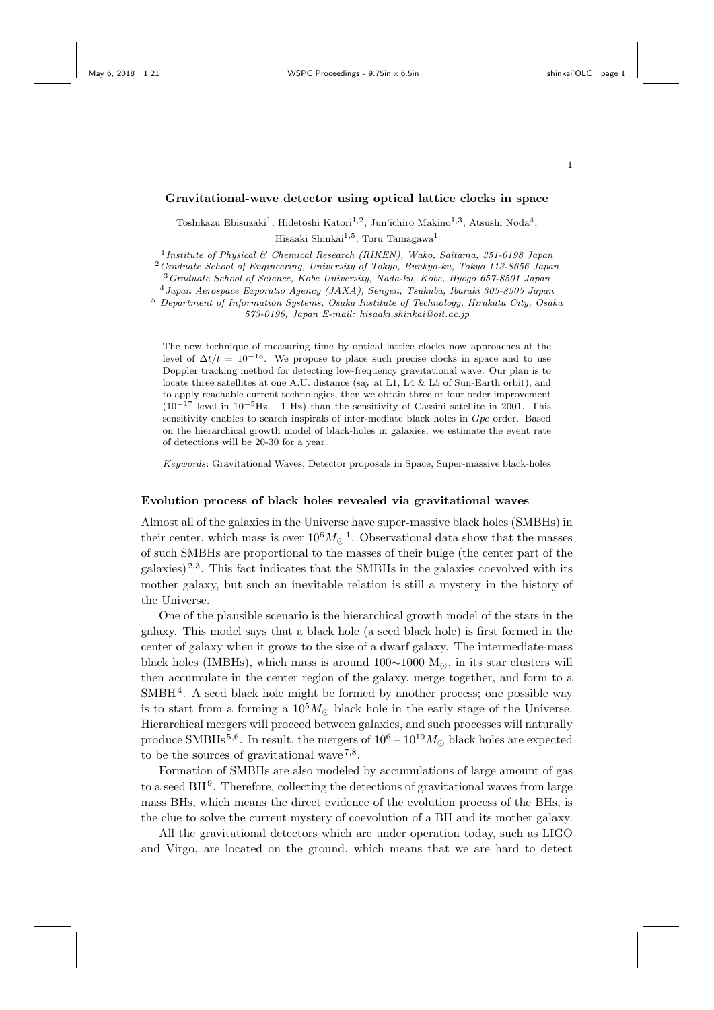1

#### **Gravitational-wave detector using optical lattice clocks in space**

Toshikazu Ebisuzaki<sup>1</sup>, Hidetoshi Katori<sup>1,2</sup>, Jun'ichiro Makino<sup>1,3</sup>, Atsushi Noda<sup>4</sup>, Hisaaki Shinkai<sup>1,5</sup>, Toru Tamagawa<sup>1</sup>

1 *Institute of Physical & Chemical Research (RIKEN), Wako, Saitama, 351-0198 Japan*

<sup>2</sup>*Graduate School of Engineering, University of Tokyo, Bunkyo-ku, Tokyo 113-8656 Japan*

<sup>3</sup>*Graduate School of Science, Kobe University, Nada-ku, Kobe, Hyogo 657-8501 Japan*

<sup>4</sup>*Japan Aerospace Exporatio Agency (JAXA), Sengen, Tsukuba, Ibaraki 305-8505 Japan*

<sup>5</sup> *Department of Information Systems, Osaka Institute of Technology, Hirakata City, Osaka 573-0196, Japan E-mail: hisaaki.shinkai@oit.ac.jp*

The new technique of measuring time by optical lattice clocks now approaches at the level of  $\Delta t/t = 10^{-18}$ . We propose to place such precise clocks in space and to use Doppler tracking method for detecting low-frequency gravitational wave. Our plan is to locate three satellites at one A.U. distance (say at L1, L4 & L5 of Sun-Earth orbit), and to apply reachable current technologies, then we obtain three or four order improvement (10*−*<sup>17</sup> level in 10*−*5Hz – 1 Hz) than the sensitivity of Cassini satellite in 2001. This sensitivity enables to search inspirals of inter-mediate black holes in *Gpc* order. Based on the hierarchical growth model of black-holes in galaxies, we estimate the event rate of detections will be 20-30 for a year.

*Keywords*: Gravitational Waves, Detector proposals in Space, Super-massive black-holes

#### **Evolution process of black holes revealed via gravitational waves**

Almost all of the galaxies in the Universe have super-massive black holes (SMBHs) in their center, which mass is over  $10^6 M_{\odot}^{-1}$ . Observational data show that the masses of such SMBHs are proportional to the masses of their bulge (the center part of the galaxies)  $^{2,3}$ . This fact indicates that the SMBHs in the galaxies coevolved with its mother galaxy, but such an inevitable relation is still a mystery in the history of the Universe.

One of the plausible scenario is the hierarchical growth model of the stars in the galaxy. This model says that a black hole (a seed black hole) is first formed in the center of galaxy when it grows to the size of a dwarf galaxy. The intermediate-mass black holes (IMBHs), which mass is around 100*∼*1000 M*⊙*, in its star clusters will then accumulate in the center region of the galaxy, merge together, and form to a SMBH<sup>4</sup>. A seed black hole might be formed by another process; one possible way is to start from a forming a  $10^5 M_{\odot}$  black hole in the early stage of the Universe. Hierarchical mergers will proceed between galaxies, and such processes will naturally produce SMBHs<sup>5,6</sup>. In result, the mergers of  $10^6 - 10^{10} M_{\odot}$  black holes are expected to be the sources of gravitational wave<sup> $7,8$ </sup>.

Formation of SMBHs are also modeled by accumulations of large amount of gas to a seed  $BH<sup>9</sup>$ . Therefore, collecting the detections of gravitational waves from large mass BHs, which means the direct evidence of the evolution process of the BHs, is the clue to solve the current mystery of coevolution of a BH and its mother galaxy.

All the gravitational detectors which are under operation today, such as LIGO and Virgo, are located on the ground, which means that we are hard to detect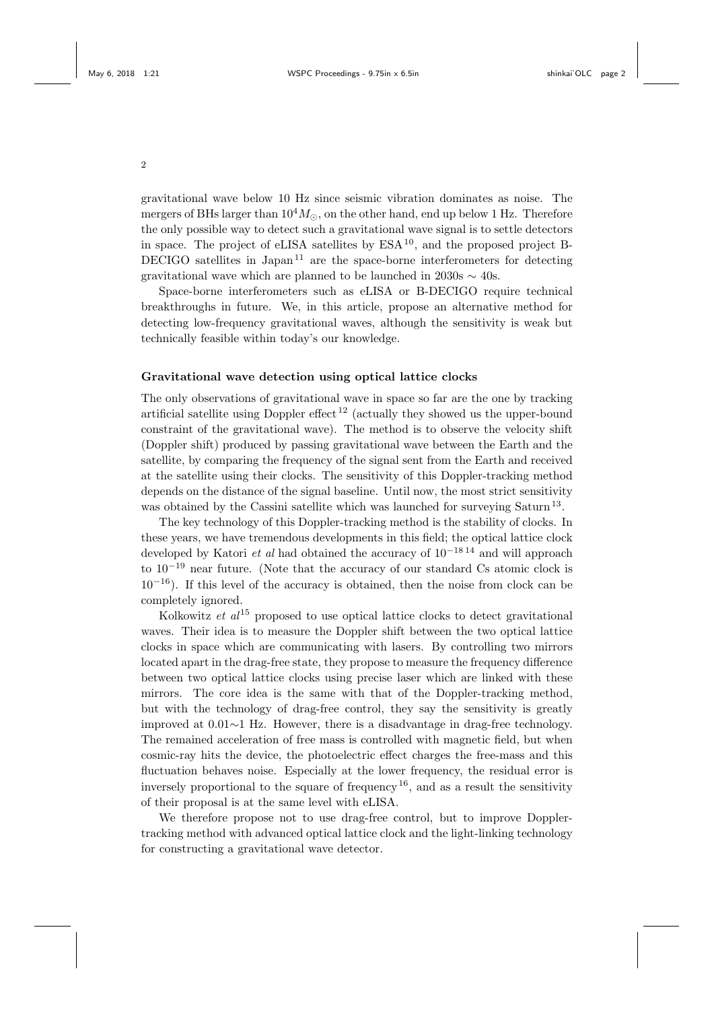gravitational wave below 10 Hz since seismic vibration dominates as noise. The mergers of BHs larger than  $10^4 M_{\odot}$ , on the other hand, end up below 1 Hz. Therefore the only possible way to detect such a gravitational wave signal is to settle detectors in space. The project of eLISA satellites by  $ESA^{10}$ , and the proposed project B-DECIGO satellites in Japan<sup>11</sup> are the space-borne interferometers for detecting gravitational wave which are planned to be launched in 2030s *∼* 40s.

Space-borne interferometers such as eLISA or B-DECIGO require technical breakthroughs in future. We, in this article, propose an alternative method for detecting low-frequency gravitational waves, although the sensitivity is weak but technically feasible within today's our knowledge.

# **Gravitational wave detection using optical lattice clocks**

The only observations of gravitational wave in space so far are the one by tracking artificial satellite using Doppler effect  $^{12}$  (actually they showed us the upper-bound constraint of the gravitational wave). The method is to observe the velocity shift (Doppler shift) produced by passing gravitational wave between the Earth and the satellite, by comparing the frequency of the signal sent from the Earth and received at the satellite using their clocks. The sensitivity of this Doppler-tracking method depends on the distance of the signal baseline. Until now, the most strict sensitivity was obtained by the Cassini satellite which was launched for surveying Saturn<sup>13</sup>.

The key technology of this Doppler-tracking method is the stability of clocks. In these years, we have tremendous developments in this field; the optical lattice clock developed by Katori *et al* had obtained the accuracy of 10*−*18 14 and will approach to 10*−*<sup>19</sup> near future. (Note that the accuracy of our standard Cs atomic clock is 10*−*16). If this level of the accuracy is obtained, then the noise from clock can be completely ignored.

Kolkowitz *et al*<sup>15</sup> proposed to use optical lattice clocks to detect gravitational waves. Their idea is to measure the Doppler shift between the two optical lattice clocks in space which are communicating with lasers. By controlling two mirrors located apart in the drag-free state, they propose to measure the frequency difference between two optical lattice clocks using precise laser which are linked with these mirrors. The core idea is the same with that of the Doppler-tracking method, but with the technology of drag-free control, they say the sensitivity is greatly improved at 0.01*∼*1 Hz. However, there is a disadvantage in drag-free technology. The remained acceleration of free mass is controlled with magnetic field, but when cosmic-ray hits the device, the photoelectric effect charges the free-mass and this fluctuation behaves noise. Especially at the lower frequency, the residual error is inversely proportional to the square of frequency  $^{16}$ , and as a result the sensitivity of their proposal is at the same level with eLISA.

We therefore propose not to use drag-free control, but to improve Dopplertracking method with advanced optical lattice clock and the light-linking technology for constructing a gravitational wave detector.

2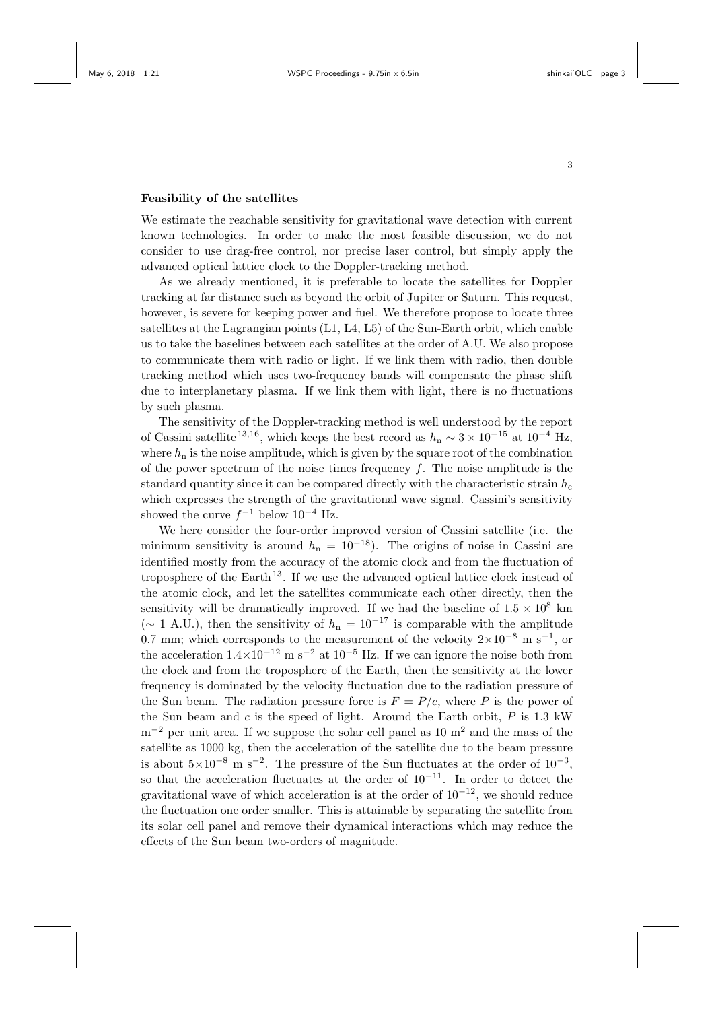### **Feasibility of the satellites**

We estimate the reachable sensitivity for gravitational wave detection with current known technologies. In order to make the most feasible discussion, we do not consider to use drag-free control, nor precise laser control, but simply apply the advanced optical lattice clock to the Doppler-tracking method.

As we already mentioned, it is preferable to locate the satellites for Doppler tracking at far distance such as beyond the orbit of Jupiter or Saturn. This request, however, is severe for keeping power and fuel. We therefore propose to locate three satellites at the Lagrangian points (L1, L4, L5) of the Sun-Earth orbit, which enable us to take the baselines between each satellites at the order of A.U. We also propose to communicate them with radio or light. If we link them with radio, then double tracking method which uses two-frequency bands will compensate the phase shift due to interplanetary plasma. If we link them with light, there is no fluctuations by such plasma.

The sensitivity of the Doppler-tracking method is well understood by the report of Cassini satellite<sup>13,16</sup>, which keeps the best record as  $h_n \sim 3 \times 10^{-15}$  at  $10^{-4}$  Hz, where  $h_n$  is the noise amplitude, which is given by the square root of the combination of the power spectrum of the noise times frequency *f*. The noise amplitude is the standard quantity since it can be compared directly with the characteristic strain  $h_c$ which expresses the strength of the gravitational wave signal. Cassini's sensitivity showed the curve *f <sup>−</sup>*<sup>1</sup> below 10*−*<sup>4</sup> Hz.

We here consider the four-order improved version of Cassini satellite (i.e. the minimum sensitivity is around  $h_n = 10^{-18}$ ). The origins of noise in Cassini are identified mostly from the accuracy of the atomic clock and from the fluctuation of troposphere of the Earth <sup>13</sup>. If we use the advanced optical lattice clock instead of the atomic clock, and let the satellites communicate each other directly, then the sensitivity will be dramatically improved. If we had the baseline of  $1.5 \times 10^8$  km ( $\sim$  1 A.U.), then the sensitivity of  $h_n = 10^{-17}$  is comparable with the amplitude 0.7 mm; which corresponds to the measurement of the velocity 2*×*10*−*<sup>8</sup> m s*−*<sup>1</sup> , or the acceleration  $1.4 \times 10^{-12}$  m s<sup>-2</sup> at  $10^{-5}$  Hz. If we can ignore the noise both from the clock and from the troposphere of the Earth, then the sensitivity at the lower frequency is dominated by the velocity fluctuation due to the radiation pressure of the Sun beam. The radiation pressure force is  $F = P/c$ , where P is the power of the Sun beam and *c* is the speed of light. Around the Earth orbit, *P* is 1.3 kW m<sup>−2</sup> per unit area. If we suppose the solar cell panel as 10 m<sup>2</sup> and the mass of the satellite as 1000 kg, then the acceleration of the satellite due to the beam pressure is about  $5\times10^{-8}$  m s<sup>−2</sup>. The pressure of the Sun fluctuates at the order of  $10^{-3}$ , so that the acceleration fluctuates at the order of 10*−*<sup>11</sup>. In order to detect the gravitational wave of which acceleration is at the order of 10*−*<sup>12</sup>, we should reduce the fluctuation one order smaller. This is attainable by separating the satellite from its solar cell panel and remove their dynamical interactions which may reduce the effects of the Sun beam two-orders of magnitude.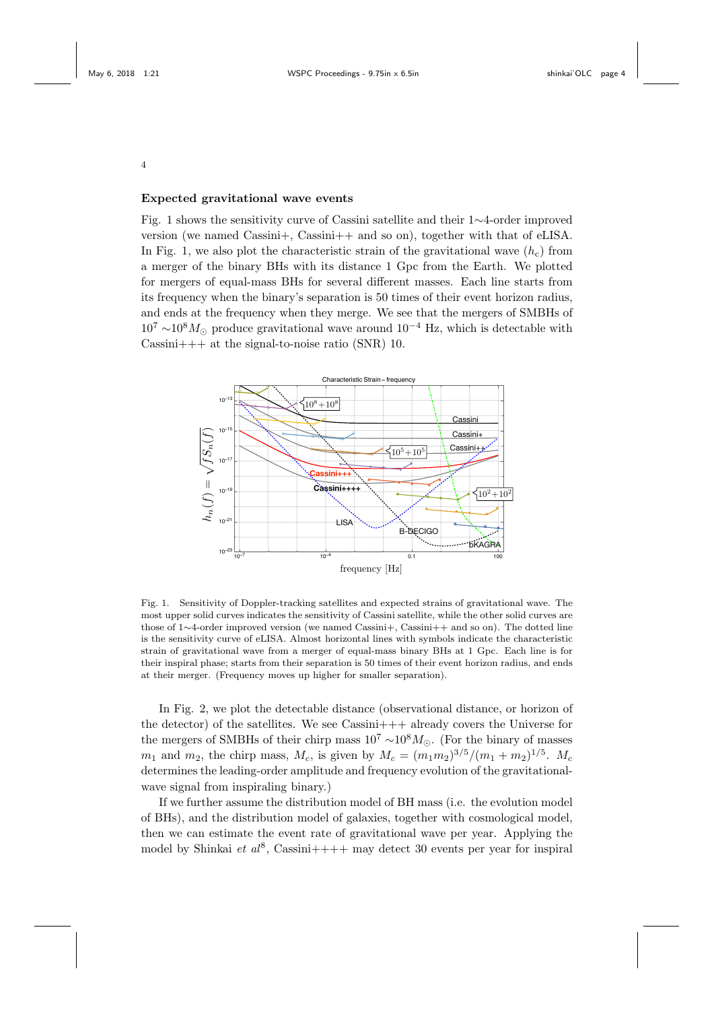4

# **Expected gravitational wave events**

Fig. 1 shows the sensitivity curve of Cassini satellite and their 1*∼*4-order improved version (we named Cassini+, Cassini++ and so on), together with that of eLISA. In Fig. 1, we also plot the characteristic strain of the gravitational wave  $(h_c)$  from a merger of the binary BHs with its distance 1 Gpc from the Earth. We plotted for mergers of equal-mass BHs for several different masses. Each line starts from its frequency when the binary's separation is 50 times of their event horizon radius, and ends at the frequency when they merge. We see that the mergers of SMBHs of <sup>10</sup><sup>7</sup> *<sup>∼</sup>*108*M<sup>⊙</sup>* produce gravitational wave around 10*−*<sup>4</sup> Hz, which is detectable with Cassini+++ at the signal-to-noise ratio (SNR) 10.



Fig. 1. Sensitivity of Doppler-tracking satellites and expected strains of gravitational wave. The most upper solid curves indicates the sensitivity of Cassini satellite, while the other solid curves are those of 1*∼*4-order improved version (we named Cassini+, Cassini++ and so on). The dotted line is the sensitivity curve of eLISA. Almost horizontal lines with symbols indicate the characteristic strain of gravitational wave from a merger of equal-mass binary BHs at 1 Gpc. Each line is for their inspiral phase; starts from their separation is 50 times of their event horizon radius, and ends at their merger. (Frequency moves up higher for smaller separation).

In Fig. 2, we plot the detectable distance (observational distance, or horizon of the detector) of the satellites. We see  $\text{Cassini+++}$  already covers the Universe for the mergers of SMBHs of their chirp mass 10<sup>7</sup> *<sup>∼</sup>*10<sup>8</sup>*M⊙*. (For the binary of masses *m*<sub>1</sub> and *m*<sub>2</sub>, the chirp mass, *M<sub>c</sub>*, is given by  $M_c = (m_1 m_2)^{3/5} / (m_1 + m_2)^{1/5}$ . *M<sub>c</sub>* determines the leading-order amplitude and frequency evolution of the gravitationalwave signal from inspiraling binary.)

If we further assume the distribution model of BH mass (i.e. the evolution model of BHs), and the distribution model of galaxies, together with cosmological model, then we can estimate the event rate of gravitational wave per year. Applying the model by Shinkai *et al*<sup>8</sup>, Cassini++++ may detect 30 events per year for inspiral